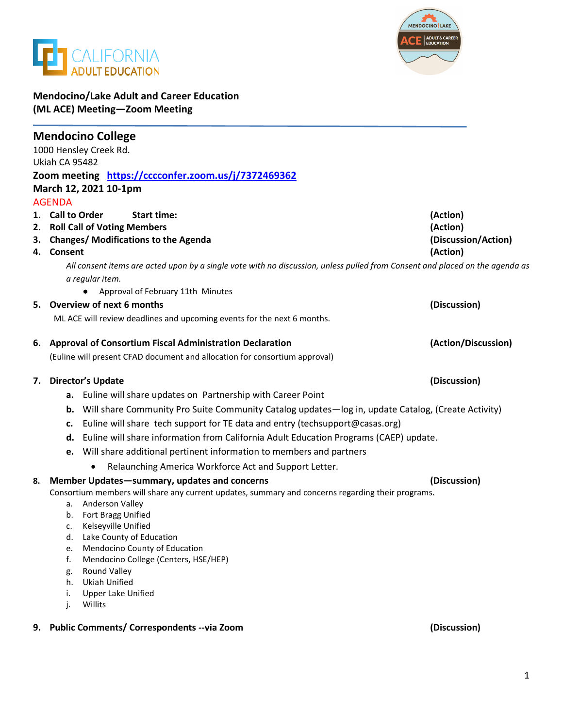



## **Mendocino/Lake Adult and Career Education (ML ACE) Meeting—Zoom Meeting**

|    | <b>Mendocino College</b><br>1000 Hensley Creek Rd.                                                                                              |                     |
|----|-------------------------------------------------------------------------------------------------------------------------------------------------|---------------------|
|    | Ukiah CA 95482                                                                                                                                  |                     |
|    | Zoom meeting https://cccconfer.zoom.us/j/7372469362                                                                                             |                     |
|    | March 12, 2021 10-1pm                                                                                                                           |                     |
|    | <b>AGENDA</b>                                                                                                                                   |                     |
|    | 1. Call to Order<br><b>Start time:</b>                                                                                                          | (Action)            |
|    | 2. Roll Call of Voting Members                                                                                                                  | (Action)            |
| з. | <b>Changes/ Modifications to the Agenda</b>                                                                                                     | (Discussion/Action) |
|    | 4. Consent                                                                                                                                      | (Action)            |
|    | All consent items are acted upon by a single vote with no discussion, unless pulled from Consent and placed on the agenda as<br>a regular item. |                     |
|    | Approval of February 11th Minutes                                                                                                               |                     |
|    | 5. Overview of next 6 months                                                                                                                    | (Discussion)        |
|    | ML ACE will review deadlines and upcoming events for the next 6 months.                                                                         |                     |
| 6. | <b>Approval of Consortium Fiscal Administration Declaration</b>                                                                                 | (Action/Discussion) |
|    | (Euline will present CFAD document and allocation for consortium approval)                                                                      |                     |
|    | 7. Director's Update                                                                                                                            | (Discussion)        |
|    | <b>a.</b> Euline will share updates on Partnership with Career Point                                                                            |                     |
|    | <b>b.</b> Will share Community Pro Suite Community Catalog updates—log in, update Catalog, (Create Activity)                                    |                     |
|    | Euline will share tech support for TE data and entry (techsupport@casas.org)<br>c.                                                              |                     |
|    | d. Euline will share information from California Adult Education Programs (CAEP) update.                                                        |                     |
|    | Will share additional pertinent information to members and partners<br>e.                                                                       |                     |
|    | Relaunching America Workforce Act and Support Letter.<br>$\bullet$                                                                              |                     |
| 8. | Member Updates-summary, updates and concerns                                                                                                    | (Discussion)        |
|    | Consortium members will share any current updates, summary and concerns regarding their programs.                                               |                     |
|    | Anderson Valley<br>а.                                                                                                                           |                     |
|    | b. Fort Bragg Unified<br>Kelseyville Unified                                                                                                    |                     |
|    | c.<br>d. Lake County of Education                                                                                                               |                     |
|    | Mendocino County of Education<br>e.                                                                                                             |                     |
|    | Mendocino College (Centers, HSE/HEP)<br>f.                                                                                                      |                     |
|    | <b>Round Valley</b><br>g.                                                                                                                       |                     |
|    | <b>Ukiah Unified</b><br>h.                                                                                                                      |                     |
|    | <b>Upper Lake Unified</b><br>i.<br>j.<br>Willits                                                                                                |                     |
|    | 9. Public Comments/ Correspondents -- via Zoom                                                                                                  | (Discussion)        |